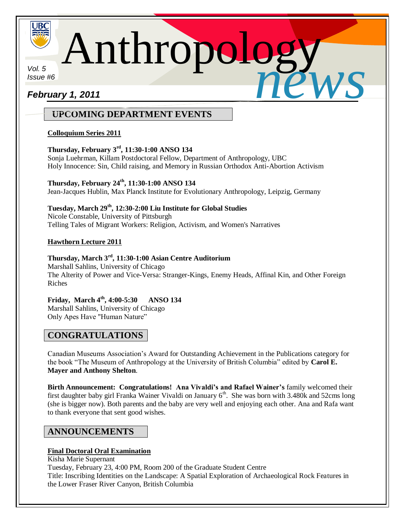

Anthropolog *news*

*Vol. 5 Issue #6*

i<br>I

# *February 1, 2011*

# **UPCOMING DEPARTMENT EVENTS**

## **Colloquium Series 2011**

## **Thursday, February 3rd , 11:30-1:00 ANSO 134**

Sonja Luehrman, Killam Postdoctoral Fellow, Department of Anthropology, UBC Holy Innocence: Sin, Child raising, and Memory in Russian Orthodox Anti-Abortion Activism

# **Thursday, February 24th, 11:30-1:00 ANSO 134**

Jean-Jacques Hublin, Max Planck Institute for Evolutionary Anthropology, Leipzig, Germany

**Tuesday, March 29th, 12:30-2:00 Liu Institute for Global Studies** Nicole Constable, University of Pittsburgh Telling Tales of Migrant Workers: Religion, Activism, and Women's Narratives

## **Hawthorn Lecture 2011**

### **Thursday, March 3rd, 11:30-1:00 Asian Centre Auditorium** Marshall Sahlins, University of Chicago The Alterity of Power and Vice-Versa: Stranger-Kings, Enemy Heads, Affinal Kin, and Other Foreign Riches

# **Friday, March 4th, 4:00-5:30 ANSO 134**

Marshall Sahlins, University of Chicago Only Apes Have "Human Nature"

# **CONGRATULATIONS**

Canadian Museums Association's Award for Outstanding Achievement in the Publications category for the book "The Museum of Anthropology at the University of British Columbia" edited by **Carol E. Mayer and Anthony Shelton**.

**Birth Announcement: Congratulations! Ana Vivaldi's and Rafael Wainer's** family welcomed their first daughter baby girl Franka Wainer Vivaldi on January  $6<sup>th</sup>$ . She was born with 3.480k and 52cms long (she is bigger now). Both parents and the baby are very well and enjoying each other. Ana and Rafa want to thank everyone that sent good wishes.

# **ANNOUNCEMENTS**

## **Final Doctoral Oral Examination**

Kisha Marie Supernant Tuesday, February 23, 4:00 PM, Room 200 of the Graduate Student Centre Title: Inscribing Identities on the Landscape: A Spatial Exploration of Archaeological Rock Features in the Lower Fraser River Canyon, British Columbia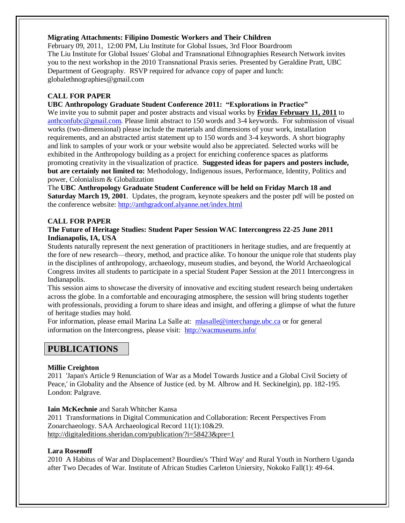### **Migrating Attachments: Filipino Domestic Workers and Their Children**

February 09, 2011, 12:00 PM, Liu Institute for Global Issues, 3rd Floor Boardroom The Liu Institute for Global Issues' Global and Transnational Ethnographies Research Network invites you to the next workshop in the 2010 Transnational Praxis series. Presented by Geraldine Pratt, UBC Department of Geography. RSVP required for advance copy of paper and lunch: globalethnographies@gmail.com

### **CALL FOR PAPER**

### **UBC Anthropology Graduate Student Conference 2011: "Explorations in Practice"**

We invite you to submit paper and poster abstracts and visual works by **Friday February 11, 2011** to [anthconfubc@gmail.com.](mailto:anthconfubc@gmail.com) Please limit abstract to 150 words and 3-4 keywords. For submission of visual works (two-dimensional) please include the materials and dimensions of your work, installation requirements, and an abstracted artist statement up to 150 words and 3-4 keywords. A short biography and link to samples of your work or your website would also be appreciated. Selected works will be exhibited in the Anthropology building as a project for enriching conference spaces as platforms promoting creativity in the visualization of practice. **Suggested ideas for papers and posters include, but are certainly not limited to:** Methodology, Indigenous issues, Performance, Identity, Politics and power, Colonialism & Globalization

The **UBC Anthropology Graduate Student Conference will be held on Friday March 18 and Saturday March 19, 2001**. Updates, the program, keynote speakers and the poster pdf will be posted on the conference website:<http://anthgradconf.alyanne.net/index.html>

### **CALL FOR PAPER**

### **The Future of Heritage Studies: Student Paper Session WAC Intercongress 22-25 June 2011 Indianapolis, IA, USA**

Students naturally represent the next generation of practitioners in heritage studies, and are frequently at the fore of new research—theory, method, and practice alike. To honour the unique role that students play in the disciplines of anthropology, archaeology, museum studies, and beyond, the World Archaeological Congress invites all students to participate in a special Student Paper Session at the 2011 Intercongress in Indianapolis.

This session aims to showcase the diversity of innovative and exciting student research being undertaken across the globe. In a comfortable and encouraging atmosphere, the session will bring students together with professionals, providing a forum to share ideas and insight, and offering a glimpse of what the future of heritage studies may hold.

For information, please email Marina La Salle at: [mlasalle@interchange.ubc.ca](mailto:mlasalle@interchange.ubc.ca) or for general information on the Intercongress, please visit: <http://wacmuseums.info/>

# **PUBLICATIONS**

### **Millie Creighton**

2011 'Japan's Article 9 Renunciation of War as a Model Towards Justice and a Global Civil Society of Peace,' in Globality and the Absence of Justice (ed. by M. Albrow and H. Seckinelgin), pp. 182-195. London: Palgrave.

### **Iain McKechnie** and Sarah Whitcher Kansa

2011 Transformations in Digital Communication and Collaboration: Recent Perspectives From Zooarchaeology. SAA Archaeological Record 11(1):10&29. <http://digitaleditions.sheridan.com/publication/?i=58423&pre=1>

### **Lara Rosenoff**

2010 A Habitus of War and Displacement? Bourdieu's 'Third Way' and Rural Youth in Northern Uganda after Two Decades of War. Institute of African Studies Carleton Uniersity, Nokoko Fall(1): 49-64.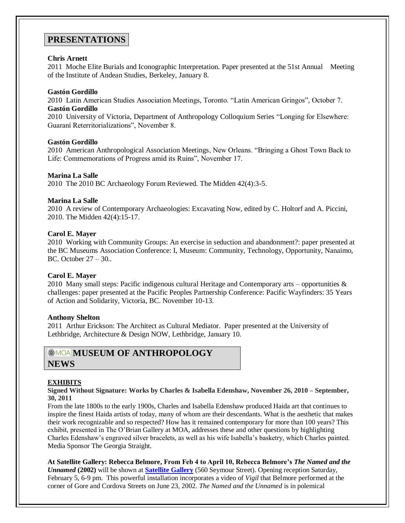## **PRESENTATIONS**

### **Chris Arnett**

2011 Moche Elite Burials and Iconographic Interpretation. Paper presented at the 51st Annual Meeting of the Institute of Andean Studies, Berkeley, January 8.

### **Gastón Gordillo**

2010 Latin American Studies Association Meetings, Toronto. "Latin American Gringos", October 7. **Gastón Gordillo**

2010 University of Victoria, Department of Anthropology Colloquium Series "Longing for Elsewhere: Guaraní Reterritorializations", November 8.

### **Gastón Gordillo**

2010 American Anthropological Association Meetings, New Orleans. "Bringing a Ghost Town Back to Life: Commemorations of Progress amid its Ruins", November 17.

### **Marina La Salle**

2010 The 2010 BC Archaeology Forum Reviewed. The Midden 42(4):3-5.

### **Marina La Salle**

2010 A review of Contemporary Archaeologies: Excavating Now, edited by C. Holtorf and A. Piccini, 2010. The Midden 42(4):15-17.

### **Carol E. Mayer**

2010 Working with Community Groups: An exercise in seduction and abandonment?: paper presented at the BC Museums Association Conference: I, Museum: Community, Technology, Opportunity, Nanaimo, BC. October 27 – 30..

### **Carol E. Mayer**

2010 Many small steps: Pacific indigenous cultural Heritage and Contemporary arts – opportunities  $\&$ challenges: paper presented at the Pacific Peoples Partnership Conference: Pacific Wayfinders: 35 Years of Action and Solidarity, Victoria, BC. November 10-13.

#### **Anthony Shelton**

2011 Arthur Erickson: The Architect as Cultural Mediator. Paper presented at the University of Lethbridge, Architecture & Design NOW, Lethbridge, January 10.

### **MOA MUSEUM OF ANTHROPOLOGY NEWS**

### **EXHIBITS**

**Signed Without Signature: Works by Charles & Isabella Edenshaw, November 26, 2010 – September, 30, 2011**

From the late 1800s to the early 1900s, Charles and Isabella Edenshaw produced Haida art that continues to inspire the finest Haida artists of today, many of whom are their descendants. What is the aesthetic that makes their work recognizable and so respected? How has it remained contemporary for more than 100 years? This exhibit, presented in The O'Brian Gallery at MOA, addresses these and other questions by highlighting Charles Edenshaw's engraved silver bracelets, as well as his wife Isabella's basketry, which Charles painted. Media Sponsor The Georgia Straight.

**At Satellite Gallery: Rebecca Belmore, From Feb 4 to April 10, Rebecca Belmore's** *The Named and the Unnamed* **(2002)** will be shown at **[Satellite Gallery](http://www.satellitegallery.ca/)** (560 Seymour Street). Opening reception Saturday, February 5, 6-9 pm. This powerful installation incorporates a video of *Vigil* that Belmore performed at the corner of Gore and Cordova Streets on June 23, 2002. *The Named and the Unnamed* is in polemical